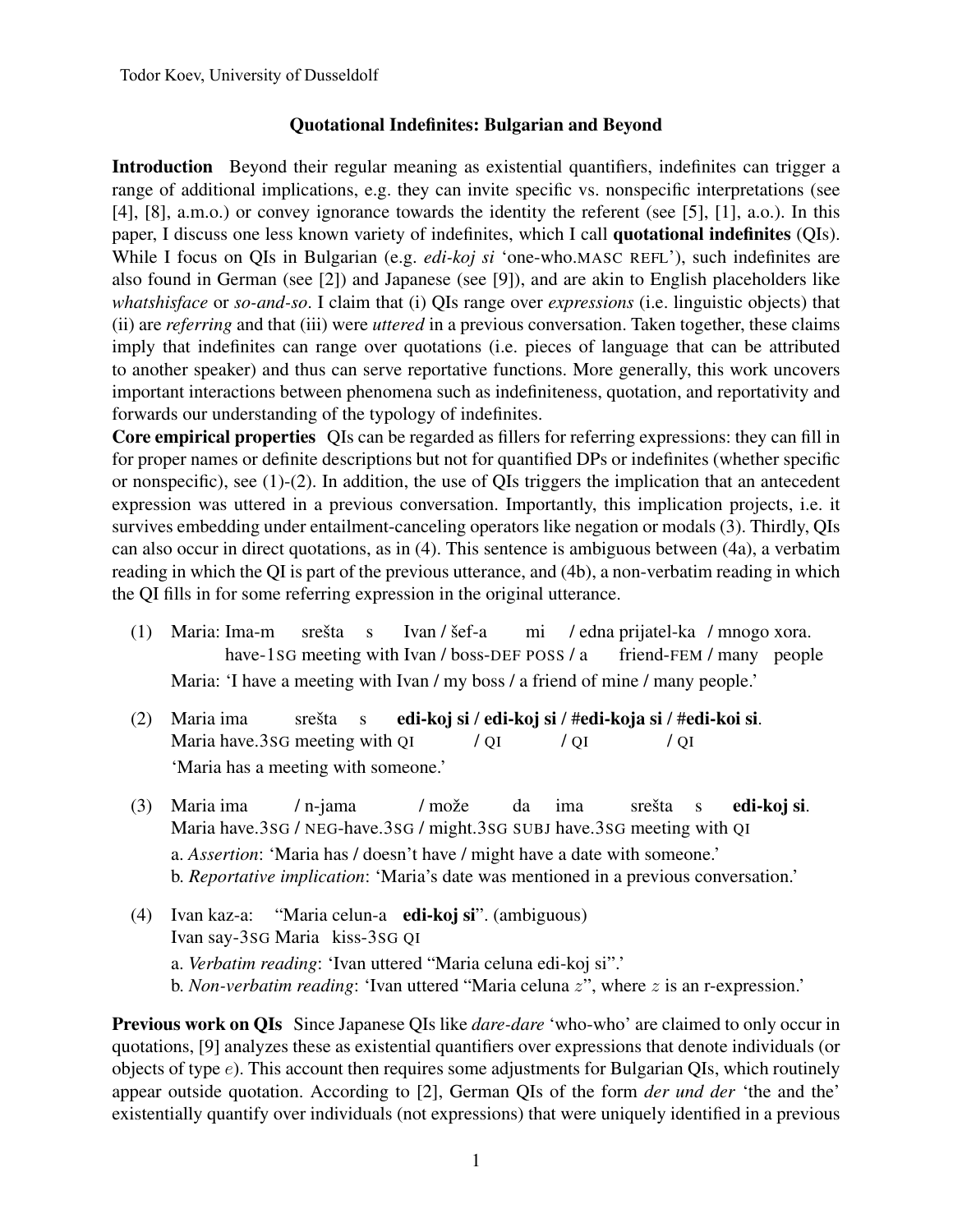## Quotational Indefinites: Bulgarian and Beyond

Introduction Beyond their regular meaning as existential quantifiers, indefinites can trigger a range of additional implications, e.g. they can invite specific vs. nonspecific interpretations (see [4], [8], a.m.o.) or convey ignorance towards the identity the referent (see [5], [1], a.o.). In this paper, I discuss one less known variety of indefinites, which I call quotational indefinites (QIs). While I focus on QIs in Bulgarian (e.g. *edi-koj si* 'one-who.MASC REFL'), such indefinites are also found in German (see [2]) and Japanese (see [9]), and are akin to English placeholders like *whatshisface* or *so-and-so*. I claim that (i) QIs range over *expressions* (i.e. linguistic objects) that (ii) are *referring* and that (iii) were *uttered* in a previous conversation. Taken together, these claims imply that indefinites can range over quotations (i.e. pieces of language that can be attributed to another speaker) and thus can serve reportative functions. More generally, this work uncovers important interactions between phenomena such as indefiniteness, quotation, and reportativity and forwards our understanding of the typology of indefinites.

Core empirical properties QIs can be regarded as fillers for referring expressions: they can fill in for proper names or definite descriptions but not for quantified DPs or indefinites (whether specific or nonspecific), see (1)-(2). In addition, the use of QIs triggers the implication that an antecedent expression was uttered in a previous conversation. Importantly, this implication projects, i.e. it survives embedding under entailment-canceling operators like negation or modals (3). Thirdly, QIs can also occur in direct quotations, as in (4). This sentence is ambiguous between (4a), a verbatim reading in which the QI is part of the previous utterance, and (4b), a non-verbatim reading in which the QI fills in for some referring expression in the original utterance.

- (1) Maria: Ima-m have-1sG meeting with Ivan / boss-DEF POSS / a srešta s Ivan / šef-a mi / edna prijatel-ka / mnogo xora. friend-FEM / many people Maria: 'I have a meeting with Ivan / my boss / a friend of mine / many people.'
- (2) Maria ima Maria have.3SG meeting with QI srešta s edi-koj si / edi-koj si / #edi-koja si / #edi-koi si. / QI / QI / QI 'Maria has a meeting with someone.'
- (3) Maria ima Maria have.3sG / NEG-have.3sG / might.3sG SUBJ have.3sG meeting with QI / n-jama / može da ima srešta s edi-koj si. a. *Assertion*: 'Maria has / doesn't have / might have a date with someone.' b. *Reportative implication*: 'Maria's date was mentioned in a previous conversation.'
- (4) Ivan kaz-a: Ivan say-3SG Maria kiss-3SG QI "Maria celun-a edi-koj si". (ambiguous) a. *Verbatim reading*: 'Ivan uttered "Maria celuna edi-koj si".' b. *Non-verbatim reading*: 'Ivan uttered "Maria celuna *z*", where *z* is an r-expression.'

Previous work on QIs Since Japanese QIs like *dare-dare* 'who-who' are claimed to only occur in quotations, [9] analyzes these as existential quantifiers over expressions that denote individuals (or objects of type *e*). This account then requires some adjustments for Bulgarian QIs, which routinely appear outside quotation. According to [2], German QIs of the form *der und der* 'the and the' existentially quantify over individuals (not expressions) that were uniquely identified in a previous